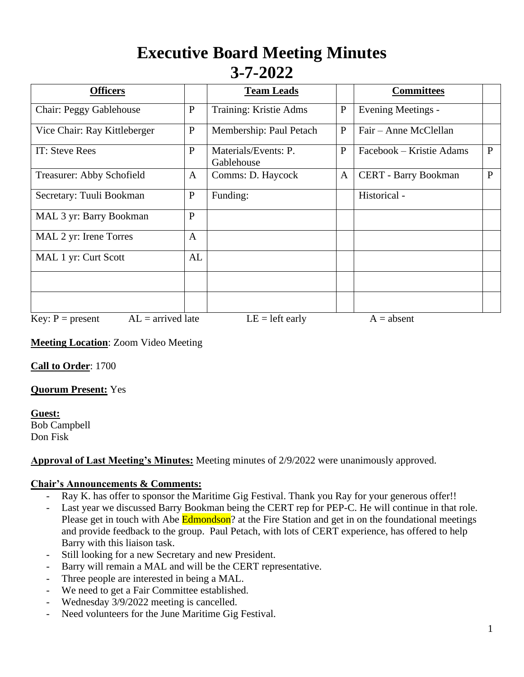# **Executive Board Meeting Minutes 3-7-2022**

| <b>Officers</b>                           |              | <b>Team Leads</b>                  |              | <b>Committees</b>           |   |
|-------------------------------------------|--------------|------------------------------------|--------------|-----------------------------|---|
| Chair: Peggy Gablehouse                   | $\mathbf{P}$ | Training: Kristie Adms             | $\mathbf P$  | Evening Meetings -          |   |
| Vice Chair: Ray Kittleberger              | $\mathbf{P}$ | Membership: Paul Petach            | $\mathbf{P}$ | Fair – Anne McClellan       |   |
| IT: Steve Rees                            | $\mathbf{P}$ | Materials/Events: P.<br>Gablehouse | $\mathbf{P}$ | Facebook – Kristie Adams    | P |
| Treasurer: Abby Schofield                 | A            | Comms: D. Haycock                  | $\mathbf{A}$ | <b>CERT</b> - Barry Bookman | P |
| Secretary: Tuuli Bookman                  | ${\bf P}$    | Funding:                           |              | Historical -                |   |
| MAL 3 yr: Barry Bookman                   | $\mathbf{P}$ |                                    |              |                             |   |
| MAL 2 yr: Irene Torres                    | $\mathbf{A}$ |                                    |              |                             |   |
| MAL 1 yr: Curt Scott                      | AL           |                                    |              |                             |   |
|                                           |              |                                    |              |                             |   |
|                                           |              |                                    |              |                             |   |
| $AL =$ arrived late<br>Key: $P = present$ |              | $LE = left$ early                  |              | $A = absent$                |   |

**Meeting Location**: Zoom Video Meeting

**Call to Order**: 1700

**Quorum Present:** Yes

**Guest:** Bob Campbell Don Fisk

#### **Approval of Last Meeting's Minutes:** Meeting minutes of 2/9/2022 were unanimously approved.

#### **Chair's Announcements & Comments:**

- Ray K. has offer to sponsor the Maritime Gig Festival. Thank you Ray for your generous offer!!
- Last year we discussed Barry Bookman being the CERT rep for PEP-C. He will continue in that role. Please get in touch with Abe Edmondson? at the Fire Station and get in on the foundational meetings and provide feedback to the group. Paul Petach, with lots of CERT experience, has offered to help Barry with this liaison task.
- Still looking for a new Secretary and new President.
- Barry will remain a MAL and will be the CERT representative.
- Three people are interested in being a MAL.
- We need to get a Fair Committee established.
- Wednesday 3/9/2022 meeting is cancelled.
- Need volunteers for the June Maritime Gig Festival.